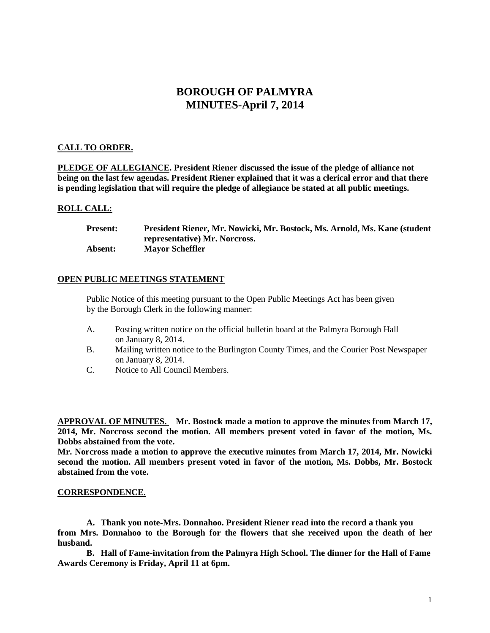# **BOROUGH OF PALMYRA MINUTES-April 7, 2014**

## **CALL TO ORDER.**

**PLEDGE OF ALLEGIANCE. President Riener discussed the issue of the pledge of alliance not being on the last few agendas. President Riener explained that it was a clerical error and that there is pending legislation that will require the pledge of allegiance be stated at all public meetings.** 

### **ROLL CALL:**

**Present: President Riener, Mr. Nowicki, Mr. Bostock, Ms. Arnold, Ms. Kane (student representative) Mr. Norcross. Absent: Mayor Scheffler**

## **OPEN PUBLIC MEETINGS STATEMENT**

Public Notice of this meeting pursuant to the Open Public Meetings Act has been given by the Borough Clerk in the following manner:

- A. Posting written notice on the official bulletin board at the Palmyra Borough Hall on January 8, 2014.
- B. Mailing written notice to the Burlington County Times, and the Courier Post Newspaper on January 8, 2014.
- C. Notice to All Council Members.

**APPROVAL OF MINUTES. Mr. Bostock made a motion to approve the minutes from March 17, 2014, Mr. Norcross second the motion. All members present voted in favor of the motion, Ms. Dobbs abstained from the vote.**

**Mr. Norcross made a motion to approve the executive minutes from March 17, 2014, Mr. Nowicki second the motion. All members present voted in favor of the motion, Ms. Dobbs, Mr. Bostock abstained from the vote.** 

#### **CORRESPONDENCE.**

**A. Thank you note-Mrs. Donnahoo. President Riener read into the record a thank you from Mrs. Donnahoo to the Borough for the flowers that she received upon the death of her husband.**

**B. Hall of Fame-invitation from the Palmyra High School. The dinner for the Hall of Fame Awards Ceremony is Friday, April 11 at 6pm.**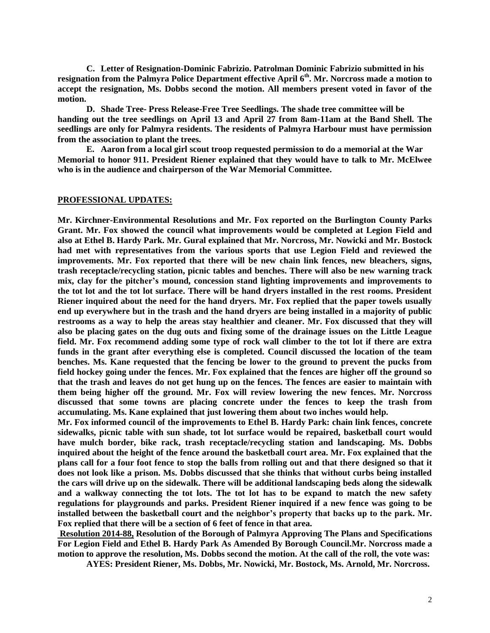**C. Letter of Resignation-Dominic Fabrizio. Patrolman Dominic Fabrizio submitted in his resignation from the Palmyra Police Department effective April 6th. Mr. Norcross made a motion to accept the resignation, Ms. Dobbs second the motion. All members present voted in favor of the motion.** 

**D. Shade Tree- Press Release-Free Tree Seedlings. The shade tree committee will be handing out the tree seedlings on April 13 and April 27 from 8am-11am at the Band Shell. The seedlings are only for Palmyra residents. The residents of Palmyra Harbour must have permission from the association to plant the trees.** 

**E. Aaron from a local girl scout troop requested permission to do a memorial at the War Memorial to honor 911. President Riener explained that they would have to talk to Mr. McElwee who is in the audience and chairperson of the War Memorial Committee.** 

#### **PROFESSIONAL UPDATES:**

**Mr. Kirchner-Environmental Resolutions and Mr. Fox reported on the Burlington County Parks Grant. Mr. Fox showed the council what improvements would be completed at Legion Field and also at Ethel B. Hardy Park. Mr. Gural explained that Mr. Norcross, Mr. Nowicki and Mr. Bostock had met with representatives from the various sports that use Legion Field and reviewed the improvements. Mr. Fox reported that there will be new chain link fences, new bleachers, signs, trash receptacle/recycling station, picnic tables and benches. There will also be new warning track mix, clay for the pitcher's mound, concession stand lighting improvements and improvements to the tot lot and the tot lot surface. There will be hand dryers installed in the rest rooms. President Riener inquired about the need for the hand dryers. Mr. Fox replied that the paper towels usually end up everywhere but in the trash and the hand dryers are being installed in a majority of public restrooms as a way to help the areas stay healthier and cleaner. Mr. Fox discussed that they will also be placing gates on the dug outs and fixing some of the drainage issues on the Little League field. Mr. Fox recommend adding some type of rock wall climber to the tot lot if there are extra funds in the grant after everything else is completed. Council discussed the location of the team benches. Ms. Kane requested that the fencing be lower to the ground to prevent the pucks from field hockey going under the fences. Mr. Fox explained that the fences are higher off the ground so that the trash and leaves do not get hung up on the fences. The fences are easier to maintain with them being higher off the ground. Mr. Fox will review lowering the new fences. Mr. Norcross discussed that some towns are placing concrete under the fences to keep the trash from accumulating. Ms. Kane explained that just lowering them about two inches would help.** 

**Mr. Fox informed council of the improvements to Ethel B. Hardy Park: chain link fences, concrete sidewalks, picnic table with sun shade, tot lot surface would be repaired, basketball court would have mulch border, bike rack, trash receptacle/recycling station and landscaping. Ms. Dobbs inquired about the height of the fence around the basketball court area. Mr. Fox explained that the plans call for a four foot fence to stop the balls from rolling out and that there designed so that it does not look like a prison. Ms. Dobbs discussed that she thinks that without curbs being installed the cars will drive up on the sidewalk. There will be additional landscaping beds along the sidewalk and a walkway connecting the tot lots. The tot lot has to be expand to match the new safety regulations for playgrounds and parks. President Riener inquired if a new fence was going to be installed between the basketball court and the neighbor's property that backs up to the park. Mr. Fox replied that there will be a section of 6 feet of fence in that area.** 

**Resolution 2014-88, Resolution of the Borough of Palmyra Approving The Plans and Specifications For Legion Field and Ethel B. Hardy Park As Amended By Borough Council.Mr. Norcross made a motion to approve the resolution, Ms. Dobbs second the motion. At the call of the roll, the vote was:**

**AYES: President Riener, Ms. Dobbs, Mr. Nowicki, Mr. Bostock, Ms. Arnold, Mr. Norcross.**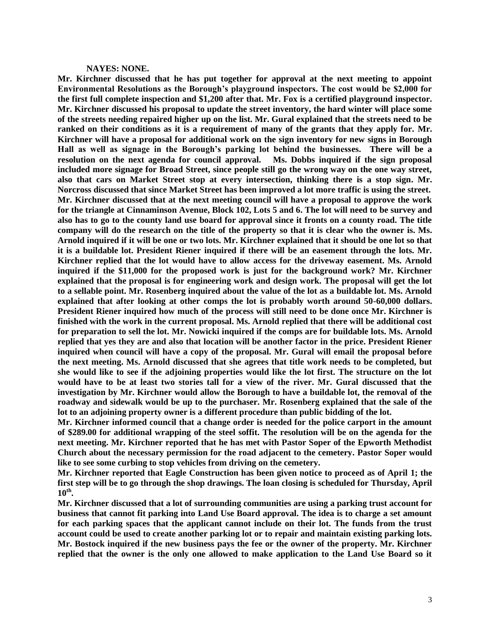#### **NAYES: NONE.**

**Mr. Kirchner discussed that he has put together for approval at the next meeting to appoint Environmental Resolutions as the Borough's playground inspectors. The cost would be \$2,000 for the first full complete inspection and \$1,200 after that. Mr. Fox is a certified playground inspector. Mr. Kirchner discussed his proposal to update the street inventory, the hard winter will place some of the streets needing repaired higher up on the list. Mr. Gural explained that the streets need to be ranked on their conditions as it is a requirement of many of the grants that they apply for. Mr. Kirchner will have a proposal for additional work on the sign inventory for new signs in Borough Hall as well as signage in the Borough's parking lot behind the businesses. There will be a resolution on the next agenda for council approval. Ms. Dobbs inquired if the sign proposal included more signage for Broad Street, since people still go the wrong way on the one way street, also that cars on Market Street stop at every intersection, thinking there is a stop sign. Mr. Norcross discussed that since Market Street has been improved a lot more traffic is using the street. Mr. Kirchner discussed that at the next meeting council will have a proposal to approve the work for the triangle at Cinnaminson Avenue, Block 102, Lots 5 and 6. The lot will need to be survey and also has to go to the county land use board for approval since it fronts on a county road. The title company will do the research on the title of the property so that it is clear who the owner is. Ms. Arnold inquired if it will be one or two lots. Mr. Kirchner explained that it should be one lot so that it is a buildable lot. President Riener inquired if there will be an easement through the lots. Mr. Kirchner replied that the lot would have to allow access for the driveway easement. Ms. Arnold inquired if the \$11,000 for the proposed work is just for the background work? Mr. Kirchner explained that the proposal is for engineering work and design work. The proposal will get the lot to a sellable point. Mr. Rosenberg inquired about the value of the lot as a buildable lot. Ms. Arnold explained that after looking at other comps the lot is probably worth around 50-60,000 dollars. President Riener inquired how much of the process will still need to be done once Mr. Kirchner is finished with the work in the current proposal. Ms. Arnold replied that there will be additional cost for preparation to sell the lot. Mr. Nowicki inquired if the comps are for buildable lots. Ms. Arnold replied that yes they are and also that location will be another factor in the price. President Riener inquired when council will have a copy of the proposal. Mr. Gural will email the proposal before the next meeting. Ms. Arnold discussed that she agrees that title work needs to be completed, but she would like to see if the adjoining properties would like the lot first. The structure on the lot would have to be at least two stories tall for a view of the river. Mr. Gural discussed that the investigation by Mr. Kirchner would allow the Borough to have a buildable lot, the removal of the roadway and sidewalk would be up to the purchaser. Mr. Rosenberg explained that the sale of the lot to an adjoining property owner is a different procedure than public bidding of the lot.** 

**Mr. Kirchner informed council that a change order is needed for the police carport in the amount of \$289.00 for additional wrapping of the steel soffit. The resolution will be on the agenda for the next meeting. Mr. Kirchner reported that he has met with Pastor Soper of the Epworth Methodist Church about the necessary permission for the road adjacent to the cemetery. Pastor Soper would like to see some curbing to stop vehicles from driving on the cemetery.** 

**Mr. Kirchner reported that Eagle Construction has been given notice to proceed as of April 1; the first step will be to go through the shop drawings. The loan closing is scheduled for Thursday, April 10th .** 

**Mr. Kirchner discussed that a lot of surrounding communities are using a parking trust account for business that cannot fit parking into Land Use Board approval. The idea is to charge a set amount for each parking spaces that the applicant cannot include on their lot. The funds from the trust account could be used to create another parking lot or to repair and maintain existing parking lots. Mr. Bostock inquired if the new business pays the fee or the owner of the property. Mr. Kirchner replied that the owner is the only one allowed to make application to the Land Use Board so it**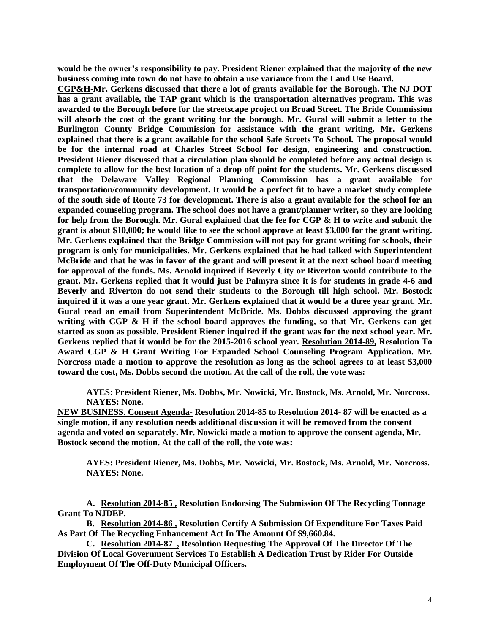**would be the owner's responsibility to pay. President Riener explained that the majority of the new business coming into town do not have to obtain a use variance from the Land Use Board.** 

**CGP&H-Mr. Gerkens discussed that there a lot of grants available for the Borough. The NJ DOT has a grant available, the TAP grant which is the transportation alternatives program. This was awarded to the Borough before for the streetscape project on Broad Street. The Bride Commission will absorb the cost of the grant writing for the borough. Mr. Gural will submit a letter to the Burlington County Bridge Commission for assistance with the grant writing. Mr. Gerkens explained that there is a grant available for the school Safe Streets To School. The proposal would be for the internal road at Charles Street School for design, engineering and construction. President Riener discussed that a circulation plan should be completed before any actual design is complete to allow for the best location of a drop off point for the students. Mr. Gerkens discussed that the Delaware Valley Regional Planning Commission has a grant available for transportation/community development. It would be a perfect fit to have a market study complete of the south side of Route 73 for development. There is also a grant available for the school for an expanded counseling program. The school does not have a grant/planner writer, so they are looking for help from the Borough. Mr. Gural explained that the fee for CGP & H to write and submit the grant is about \$10,000; he would like to see the school approve at least \$3,000 for the grant writing. Mr. Gerkens explained that the Bridge Commission will not pay for grant writing for schools, their program is only for municipalities. Mr. Gerkens explained that he had talked with Superintendent McBride and that he was in favor of the grant and will present it at the next school board meeting for approval of the funds. Ms. Arnold inquired if Beverly City or Riverton would contribute to the grant. Mr. Gerkens replied that it would just be Palmyra since it is for students in grade 4-6 and Beverly and Riverton do not send their students to the Borough till high school. Mr. Bostock inquired if it was a one year grant. Mr. Gerkens explained that it would be a three year grant. Mr. Gural read an email from Superintendent McBride. Ms. Dobbs discussed approving the grant writing with CGP & H if the school board approves the funding, so that Mr. Gerkens can get started as soon as possible. President Riener inquired if the grant was for the next school year. Mr. Gerkens replied that it would be for the 2015-2016 school year. Resolution 2014-89, Resolution To Award CGP & H Grant Writing For Expanded School Counseling Program Application. Mr. Norcross made a motion to approve the resolution as long as the school agrees to at least \$3,000 toward the cost, Ms. Dobbs second the motion. At the call of the roll, the vote was:**

**AYES: President Riener, Ms. Dobbs, Mr. Nowicki, Mr. Bostock, Ms. Arnold, Mr. Norcross. NAYES: None.**

**NEW BUSINESS. Consent Agenda- Resolution 2014-85 to Resolution 2014- 87 will be enacted as a single motion, if any resolution needs additional discussion it will be removed from the consent agenda and voted on separately. Mr. Nowicki made a motion to approve the consent agenda, Mr. Bostock second the motion. At the call of the roll, the vote was:**

**AYES: President Riener, Ms. Dobbs, Mr. Nowicki, Mr. Bostock, Ms. Arnold, Mr. Norcross. NAYES: None.**

**A. Resolution 2014-85 , Resolution Endorsing The Submission Of The Recycling Tonnage Grant To NJDEP.**

**B. Resolution 2014-86 , Resolution Certify A Submission Of Expenditure For Taxes Paid As Part Of The Recycling Enhancement Act In The Amount Of \$9,660.84.**

**C. Resolution 2014-87 , Resolution Requesting The Approval Of The Director Of The Division Of Local Government Services To Establish A Dedication Trust by Rider For Outside Employment Of The Off-Duty Municipal Officers.**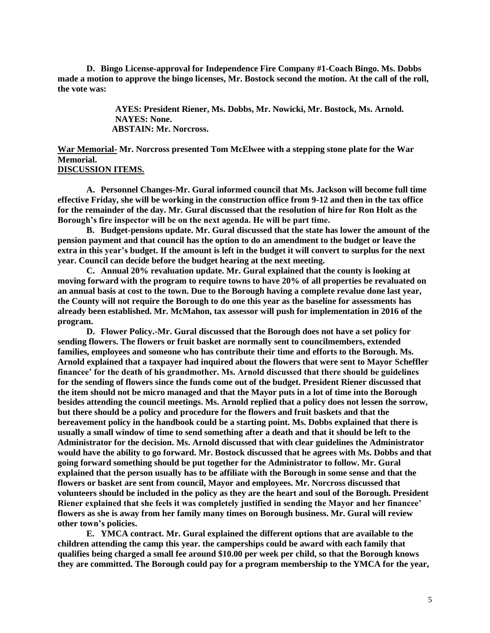**D. Bingo License-approval for Independence Fire Company #1-Coach Bingo. Ms. Dobbs made a motion to approve the bingo licenses, Mr. Bostock second the motion. At the call of the roll, the vote was:**

> **AYES: President Riener, Ms. Dobbs, Mr. Nowicki, Mr. Bostock, Ms. Arnold. NAYES: None. ABSTAIN: Mr. Norcross.**

**War Memorial- Mr. Norcross presented Tom McElwee with a stepping stone plate for the War Memorial. DISCUSSION ITEMS.**

**A. Personnel Changes-Mr. Gural informed council that Ms. Jackson will become full time effective Friday, she will be working in the construction office from 9-12 and then in the tax office for the remainder of the day. Mr. Gural discussed that the resolution of hire for Ron Holt as the Borough's fire inspector will be on the next agenda. He will be part time.** 

**B. Budget-pensions update. Mr. Gural discussed that the state has lower the amount of the pension payment and that council has the option to do an amendment to the budget or leave the extra in this year's budget. If the amount is left in the budget it will convert to surplus for the next year. Council can decide before the budget hearing at the next meeting.** 

**C. Annual 20% revaluation update. Mr. Gural explained that the county is looking at moving forward with the program to require towns to have 20% of all properties be revaluated on an annual basis at cost to the town. Due to the Borough having a complete revalue done last year, the County will not require the Borough to do one this year as the baseline for assessments has already been established. Mr. McMahon, tax assessor will push for implementation in 2016 of the program.** 

**D. Flower Policy.-Mr. Gural discussed that the Borough does not have a set policy for sending flowers. The flowers or fruit basket are normally sent to councilmembers, extended families, employees and someone who has contribute their time and efforts to the Borough. Ms. Arnold explained that a taxpayer had inquired about the flowers that were sent to Mayor Scheffler financee' for the death of his grandmother. Ms. Arnold discussed that there should be guidelines for the sending of flowers since the funds come out of the budget. President Riener discussed that the item should not be micro managed and that the Mayor puts in a lot of time into the Borough besides attending the council meetings. Ms. Arnold replied that a policy does not lessen the sorrow, but there should be a policy and procedure for the flowers and fruit baskets and that the bereavement policy in the handbook could be a starting point. Ms. Dobbs explained that there is usually a small window of time to send something after a death and that it should be left to the Administrator for the decision. Ms. Arnold discussed that with clear guidelines the Administrator would have the ability to go forward. Mr. Bostock discussed that he agrees with Ms. Dobbs and that going forward something should be put together for the Administrator to follow. Mr. Gural explained that the person usually has to be affiliate with the Borough in some sense and that the flowers or basket are sent from council, Mayor and employees. Mr. Norcross discussed that volunteers should be included in the policy as they are the heart and soul of the Borough. President Riener explained that she feels it was completely justified in sending the Mayor and her financee' flowers as she is away from her family many times on Borough business. Mr. Gural will review other town's policies.** 

**E. YMCA contract. Mr. Gural explained the different options that are available to the children attending the camp this year. the camperships could be award with each family that qualifies being charged a small fee around \$10.00 per week per child, so that the Borough knows they are committed. The Borough could pay for a program membership to the YMCA for the year,**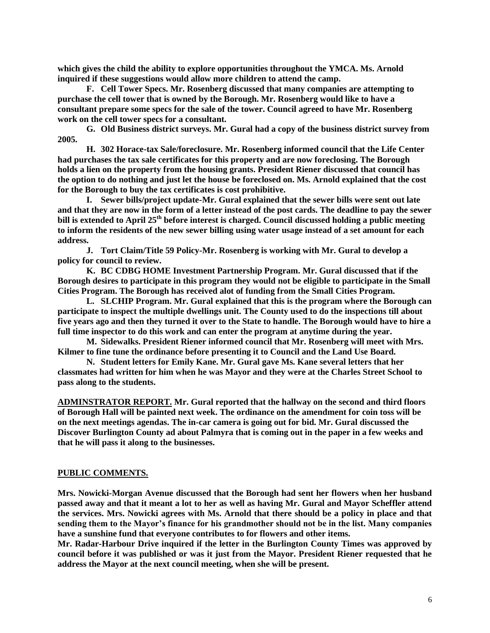**which gives the child the ability to explore opportunities throughout the YMCA. Ms. Arnold inquired if these suggestions would allow more children to attend the camp.** 

**F. Cell Tower Specs. Mr. Rosenberg discussed that many companies are attempting to purchase the cell tower that is owned by the Borough. Mr. Rosenberg would like to have a consultant prepare some specs for the sale of the tower. Council agreed to have Mr. Rosenberg work on the cell tower specs for a consultant.** 

**G. Old Business district surveys. Mr. Gural had a copy of the business district survey from 2005.** 

**H. 302 Horace-tax Sale/foreclosure. Mr. Rosenberg informed council that the Life Center had purchases the tax sale certificates for this property and are now foreclosing. The Borough holds a lien on the property from the housing grants. President Riener discussed that council has the option to do nothing and just let the house be foreclosed on. Ms. Arnold explained that the cost for the Borough to buy the tax certificates is cost prohibitive.** 

**I. Sewer bills/project update-Mr. Gural explained that the sewer bills were sent out late and that they are now in the form of a letter instead of the post cards. The deadline to pay the sewer bill is extended to April 25th before interest is charged. Council discussed holding a public meeting to inform the residents of the new sewer billing using water usage instead of a set amount for each address.** 

**J. Tort Claim/Title 59 Policy-Mr. Rosenberg is working with Mr. Gural to develop a policy for council to review.** 

**K. BC CDBG HOME Investment Partnership Program. Mr. Gural discussed that if the Borough desires to participate in this program they would not be eligible to participate in the Small Cities Program. The Borough has received alot of funding from the Small Cities Program.** 

**L. SLCHIP Program. Mr. Gural explained that this is the program where the Borough can participate to inspect the multiple dwellings unit. The County used to do the inspections till about five years ago and then they turned it over to the State to handle. The Borough would have to hire a full time inspector to do this work and can enter the program at anytime during the year.** 

**M. Sidewalks. President Riener informed council that Mr. Rosenberg will meet with Mrs. Kilmer to fine tune the ordinance before presenting it to Council and the Land Use Board.**

**N. Student letters for Emily Kane. Mr. Gural gave Ms. Kane several letters that her classmates had written for him when he was Mayor and they were at the Charles Street School to pass along to the students.** 

**ADMINSTRATOR REPORT. Mr. Gural reported that the hallway on the second and third floors of Borough Hall will be painted next week. The ordinance on the amendment for coin toss will be on the next meetings agendas. The in-car camera is going out for bid. Mr. Gural discussed the Discover Burlington County ad about Palmyra that is coming out in the paper in a few weeks and that he will pass it along to the businesses.** 

#### **PUBLIC COMMENTS.**

**Mrs. Nowicki-Morgan Avenue discussed that the Borough had sent her flowers when her husband passed away and that it meant a lot to her as well as having Mr. Gural and Mayor Scheffler attend the services. Mrs. Nowicki agrees with Ms. Arnold that there should be a policy in place and that sending them to the Mayor's finance for his grandmother should not be in the list. Many companies have a sunshine fund that everyone contributes to for flowers and other items.** 

**Mr. Radar-Harbour Drive inquired if the letter in the Burlington County Times was approved by council before it was published or was it just from the Mayor. President Riener requested that he address the Mayor at the next council meeting, when she will be present.**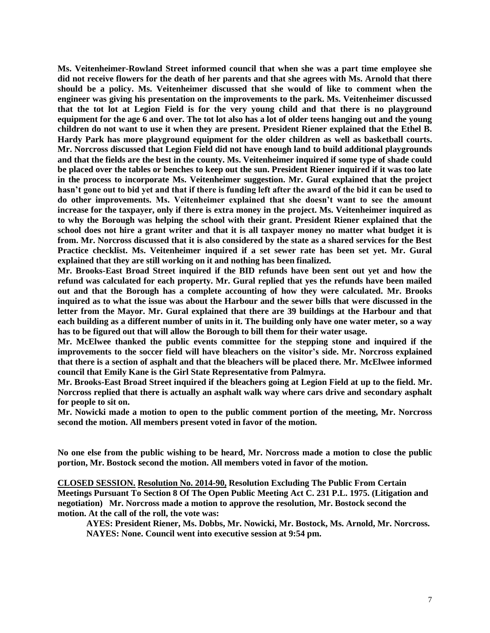**Ms. Veitenheimer-Rowland Street informed council that when she was a part time employee she did not receive flowers for the death of her parents and that she agrees with Ms. Arnold that there should be a policy. Ms. Veitenheimer discussed that she would of like to comment when the engineer was giving his presentation on the improvements to the park. Ms. Veitenheimer discussed that the tot lot at Legion Field is for the very young child and that there is no playground equipment for the age 6 and over. The tot lot also has a lot of older teens hanging out and the young children do not want to use it when they are present. President Riener explained that the Ethel B. Hardy Park has more playground equipment for the older children as well as basketball courts. Mr. Norcross discussed that Legion Field did not have enough land to build additional playgrounds and that the fields are the best in the county. Ms. Veitenheimer inquired if some type of shade could be placed over the tables or benches to keep out the sun. President Riener inquired if it was too late in the process to incorporate Ms. Veitenheimer suggestion. Mr. Gural explained that the project hasn't gone out to bid yet and that if there is funding left after the award of the bid it can be used to do other improvements. Ms. Veitenheimer explained that she doesn't want to see the amount increase for the taxpayer, only if there is extra money in the project. Ms. Veitenheimer inquired as to why the Borough was helping the school with their grant. President Riener explained that the school does not hire a grant writer and that it is all taxpayer money no matter what budget it is from. Mr. Norcross discussed that it is also considered by the state as a shared services for the Best Practice checklist. Ms. Veitenheimer inquired if a set sewer rate has been set yet. Mr. Gural explained that they are still working on it and nothing has been finalized.** 

**Mr. Brooks-East Broad Street inquired if the BID refunds have been sent out yet and how the refund was calculated for each property. Mr. Gural replied that yes the refunds have been mailed out and that the Borough has a complete accounting of how they were calculated. Mr. Brooks inquired as to what the issue was about the Harbour and the sewer bills that were discussed in the letter from the Mayor. Mr. Gural explained that there are 39 buildings at the Harbour and that each building as a different number of units in it. The building only have one water meter, so a way has to be figured out that will allow the Borough to bill them for their water usage.** 

**Mr. McElwee thanked the public events committee for the stepping stone and inquired if the improvements to the soccer field will have bleachers on the visitor's side. Mr. Norcross explained that there is a section of asphalt and that the bleachers will be placed there. Mr. McElwee informed council that Emily Kane is the Girl State Representative from Palmyra.** 

**Mr. Brooks-East Broad Street inquired if the bleachers going at Legion Field at up to the field. Mr. Norcross replied that there is actually an asphalt walk way where cars drive and secondary asphalt for people to sit on.** 

**Mr. Nowicki made a motion to open to the public comment portion of the meeting, Mr. Norcross second the motion. All members present voted in favor of the motion.**

**No one else from the public wishing to be heard, Mr. Norcross made a motion to close the public portion, Mr. Bostock second the motion. All members voted in favor of the motion.** 

**CLOSED SESSION. Resolution No. 2014-90, Resolution Excluding The Public From Certain Meetings Pursuant To Section 8 Of The Open Public Meeting Act C. 231 P.L. 1975. (Litigation and negotiation) Mr. Norcross made a motion to approve the resolution, Mr. Bostock second the motion. At the call of the roll, the vote was:**

**AYES: President Riener, Ms. Dobbs, Mr. Nowicki, Mr. Bostock, Ms. Arnold, Mr. Norcross. NAYES: None. Council went into executive session at 9:54 pm.**